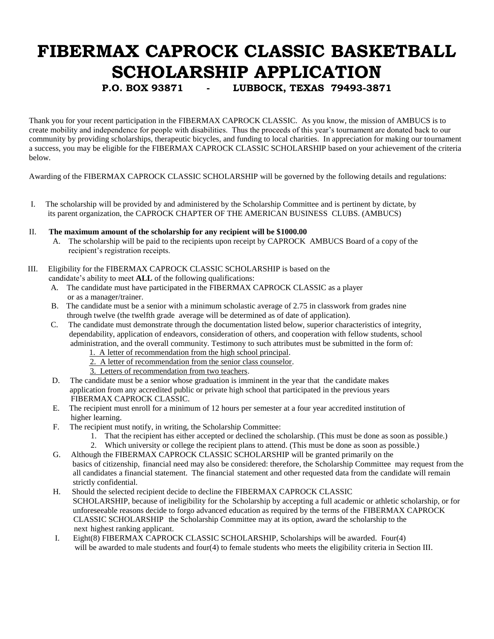## **FIBERMAX CAPROCK CLASSIC BASKETBALL SCHOLARSHIP APPLICATION**

**P.O. BOX 93871 - LUBBOCK, TEXAS 79493-3871**

Thank you for your recent participation in the FIBERMAX CAPROCK CLASSIC. As you know, the mission of AMBUCS is to create mobility and independence for people with disabilities. Thus the proceeds of this year's tournament are donated back to our community by providing scholarships, therapeutic bicycles, and funding to local charities. In appreciation for making our tournament a success, you may be eligible for the FIBERMAX CAPROCK CLASSIC SCHOLARSHIP based on your achievement of the criteria below.

Awarding of the FIBERMAX CAPROCK CLASSIC SCHOLARSHIP will be governed by the following details and regulations:

- I. The scholarship will be provided by and administered by the Scholarship Committee and is pertinent by dictate, by its parent organization, the CAPROCK CHAPTER OF THE AMERICAN BUSINESS CLUBS. (AMBUCS)
- II. **The maximum amount of the scholarship for any recipient will be \$1000.00**
	- A. The scholarship will be paid to the recipients upon receipt by CAPROCK AMBUCS Board of a copy of the recipient's registration receipts.
- III. Eligibility for the FIBERMAX CAPROCK CLASSIC SCHOLARSHIP is based on the
	- candidate's ability to meet **ALL** of the following qualifications:
		- A. The candidate must have participated in the FIBERMAX CAPROCK CLASSIC as a player or as a manager/trainer.
		- B. The candidate must be a senior with a minimum scholastic average of 2.75 in classwork from grades nine through twelve (the twelfth grade average will be determined as of date of application).
		- C. The candidate must demonstrate through the documentation listed below, superior characteristics of integrity, dependability, application of endeavors, consideration of others, and cooperation with fellow students, school administration, and the overall community. Testimony to such attributes must be submitted in the form of:
			- 1. A letter of recommendation from the high school principal.
			- 2. A letter of recommendation from the senior class counselor.
			- 3. Letters of recommendation from two teachers.
		- D. The candidate must be a senior whose graduation is imminent in the year that the candidate makes application from any accredited public or private high school that participated in the previous years FIBERMAX CAPROCK CLASSIC.
		- E. The recipient must enroll for a minimum of 12 hours per semester at a four year accredited institution of higher learning.
		- F. The recipient must notify, in writing, the Scholarship Committee:
			- 1. That the recipient has either accepted or declined the scholarship. (This must be done as soon as possible.)
			- 2. Which university or college the recipient plans to attend. (This must be done as soon as possible.)
		- G. Although the FIBERMAX CAPROCK CLASSIC SCHOLARSHIP will be granted primarily on the basics of citizenship, financial need may also be considered: therefore, the Scholarship Committee may request from the all candidates a financial statement. The financial statement and other requested data from the candidate will remain strictly confidential.
		- H. Should the selected recipient decide to decline the FIBERMAX CAPROCK CLASSIC SCHOLARSHIP, because of ineligibility for the Scholarship by accepting a full academic or athletic scholarship, or for unforeseeable reasons decide to forgo advanced education as required by the terms of the FIBERMAX CAPROCK CLASSIC SCHOLARSHIP the Scholarship Committee may at its option, award the scholarship to the next highest ranking applicant.
		- I. Eight(8) FIBERMAX CAPROCK CLASSIC SCHOLARSHIP, Scholarships will be awarded. Four(4) will be awarded to male students and four(4) to female students who meets the eligibility criteria in Section III.